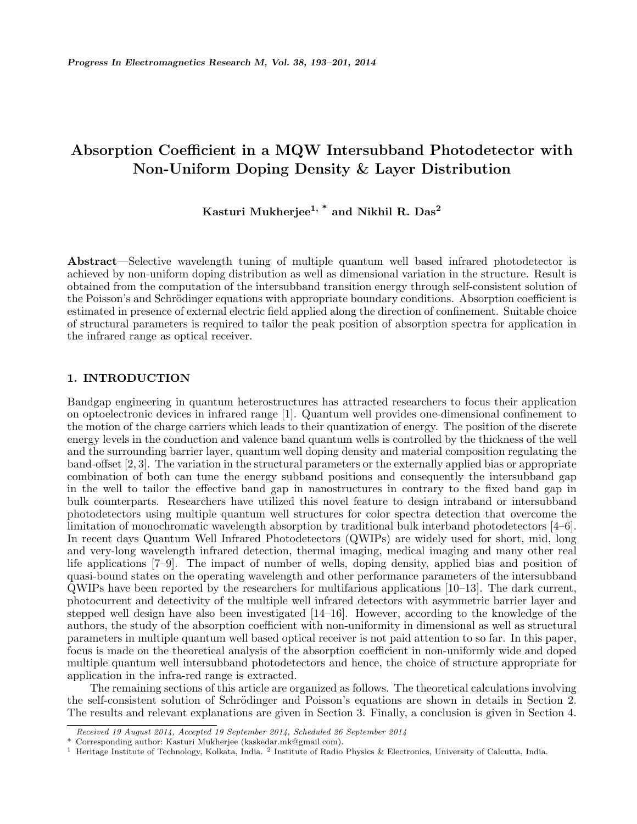# Absorption Coefficient in a MQW Intersubband Photodetector with Non-Uniform Doping Density & Layer Distribution

## Kasturi Mukherjee<sup>1, \*</sup> and Nikhil R. Das<sup>2</sup>

Abstract—Selective wavelength tuning of multiple quantum well based infrared photodetector is achieved by non-uniform doping distribution as well as dimensional variation in the structure. Result is obtained from the computation of the intersubband transition energy through self-consistent solution of the Poisson's and Schrödinger equations with appropriate boundary conditions. Absorption coefficient is estimated in presence of external electric field applied along the direction of confinement. Suitable choice of structural parameters is required to tailor the peak position of absorption spectra for application in the infrared range as optical receiver.

## 1. INTRODUCTION

Bandgap engineering in quantum heterostructures has attracted researchers to focus their application on optoelectronic devices in infrared range [1]. Quantum well provides one-dimensional confinement to the motion of the charge carriers which leads to their quantization of energy. The position of the discrete energy levels in the conduction and valence band quantum wells is controlled by the thickness of the well and the surrounding barrier layer, quantum well doping density and material composition regulating the band-offset [2, 3]. The variation in the structural parameters or the externally applied bias or appropriate combination of both can tune the energy subband positions and consequently the intersubband gap in the well to tailor the effective band gap in nanostructures in contrary to the fixed band gap in bulk counterparts. Researchers have utilized this novel feature to design intraband or intersubband photodetectors using multiple quantum well structures for color spectra detection that overcome the limitation of monochromatic wavelength absorption by traditional bulk interband photodetectors [4–6]. In recent days Quantum Well Infrared Photodetectors (QWIPs) are widely used for short, mid, long and very-long wavelength infrared detection, thermal imaging, medical imaging and many other real life applications [7–9]. The impact of number of wells, doping density, applied bias and position of quasi-bound states on the operating wavelength and other performance parameters of the intersubband QWIPs have been reported by the researchers for multifarious applications [10–13]. The dark current, photocurrent and detectivity of the multiple well infrared detectors with asymmetric barrier layer and stepped well design have also been investigated [14–16]. However, according to the knowledge of the authors, the study of the absorption coefficient with non-uniformity in dimensional as well as structural parameters in multiple quantum well based optical receiver is not paid attention to so far. In this paper, focus is made on the theoretical analysis of the absorption coefficient in non-uniformly wide and doped multiple quantum well intersubband photodetectors and hence, the choice of structure appropriate for application in the infra-red range is extracted.

The remaining sections of this article are organized as follows. The theoretical calculations involving the self-consistent solution of Schrödinger and Poisson's equations are shown in details in Section 2. The results and relevant explanations are given in Section 3. Finally, a conclusion is given in Section 4.

Received 19 August 2014, Accepted 19 September 2014, Scheduled 26 September 2014

<sup>\*</sup> Corresponding author: Kasturi Mukherjee (kaskedar.mk@gmail.com).

<sup>&</sup>lt;sup>1</sup> Heritage Institute of Technology, Kolkata, India. <sup>2</sup> Institute of Radio Physics & Electronics, University of Calcutta, India.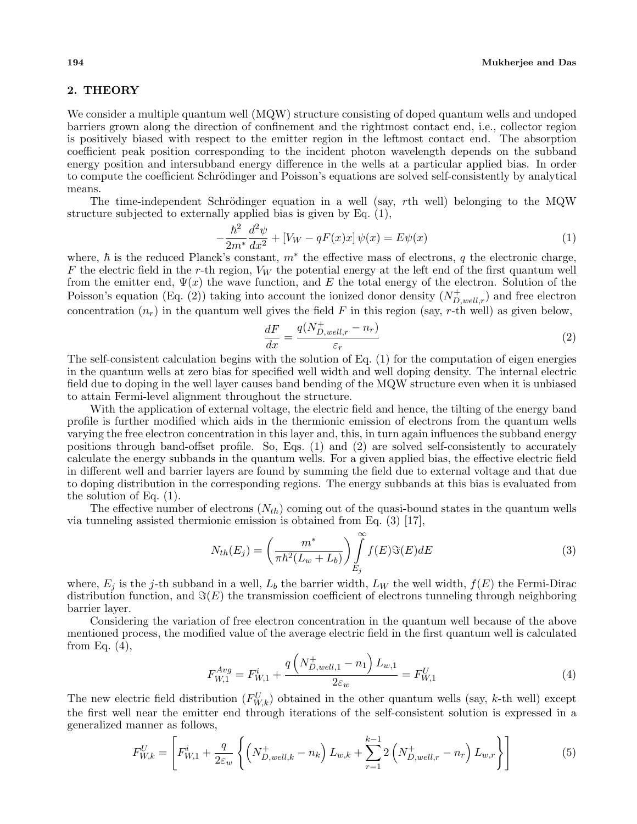## 2. THEORY

We consider a multiple quantum well  $(MQW)$  structure consisting of doped quantum wells and undoped barriers grown along the direction of confinement and the rightmost contact end, i.e., collector region is positively biased with respect to the emitter region in the leftmost contact end. The absorption coefficient peak position corresponding to the incident photon wavelength depends on the subband energy position and intersubband energy difference in the wells at a particular applied bias. In order to compute the coefficient Schrödinger and Poisson's equations are solved self-consistently by analytical means.

The time-independent Schrödinger equation in a well (say, rth well) belonging to the MQW structure subjected to externally applied bias is given by Eq. (1),

$$
-\frac{\hbar^2}{2m^*}\frac{d^2\psi}{dx^2} + \left[V_W - qF(x)x\right]\psi(x) = E\psi(x)
$$
\n(1)

where,  $\hbar$  is the reduced Planck's constant,  $m^*$  the effective mass of electrons, q the electronic charge, F the electric field in the r-th region,  $V_W$  the potential energy at the left end of the first quantum well from the emitter end,  $\Psi(x)$  the wave function, and E the total energy of the electron. Solution of the Poisson's equation (Eq. (2)) taking into account the ionized donor density  $(N_D^+$  $_{D,well,r}^{(+)}$  and free electron concentration  $(n_r)$  in the quantum well gives the field F in this region (say, r-th well) as given below,

$$
\frac{dF}{dx} = \frac{q(N_{D,well,r}^+ - n_r)}{\varepsilon_r} \tag{2}
$$

The self-consistent calculation begins with the solution of Eq. (1) for the computation of eigen energies in the quantum wells at zero bias for specified well width and well doping density. The internal electric field due to doping in the well layer causes band bending of the MQW structure even when it is unbiased to attain Fermi-level alignment throughout the structure.

With the application of external voltage, the electric field and hence, the tilting of the energy band profile is further modified which aids in the thermionic emission of electrons from the quantum wells varying the free electron concentration in this layer and, this, in turn again influences the subband energy positions through band-offset profile. So, Eqs. (1) and (2) are solved self-consistently to accurately calculate the energy subbands in the quantum wells. For a given applied bias, the effective electric field in different well and barrier layers are found by summing the field due to external voltage and that due to doping distribution in the corresponding regions. The energy subbands at this bias is evaluated from the solution of Eq. (1).

The effective number of electrons  $(N_{th})$  coming out of the quasi-bound states in the quantum wells via tunneling assisted thermionic emission is obtained from Eq. (3) [17],

$$
N_{th}(E_j) = \left(\frac{m^*}{\pi \hbar^2 (L_w + L_b)}\right) \int_{E_j}^{\infty} f(E) \Im(E) dE \tag{3}
$$

where,  $E_j$  is the j-th subband in a well,  $L_b$  the barrier width,  $L_W$  the well width,  $f(E)$  the Fermi-Dirac distribution function, and  $\Im(E)$  the transmission coefficient of electrons tunneling through neighboring barrier layer.

Considering the variation of free electron concentration in the quantum well because of the above mentioned process, the modified value of the average electric field in the first quantum well is calculated from Eq.  $(4)$ , ³ ´

$$
F_{W,1}^{Avg} = F_{W,1}^i + \frac{q\left(N_{D,well,1}^+ - n_1\right)L_{w,1}}{2\varepsilon_w} = F_{W,1}^U
$$
\n<sup>(4)</sup>

The new electric field distribution  $(F_{W,k}^U)$  obtained in the other quantum wells (say, k-th well) except the first well near the emitter end through iterations of the self-consistent solution is expressed in a generalized manner as follows, "

$$
F_{W,k}^U = \left[ F_{W,1}^i + \frac{q}{2\varepsilon_w} \left\{ \left( N_{D,well,k}^+ - n_k \right) L_{w,k} + \sum_{r=1}^{k-1} 2 \left( N_{D,well,r}^+ - n_r \right) L_{w,r} \right\} \right]
$$
(5)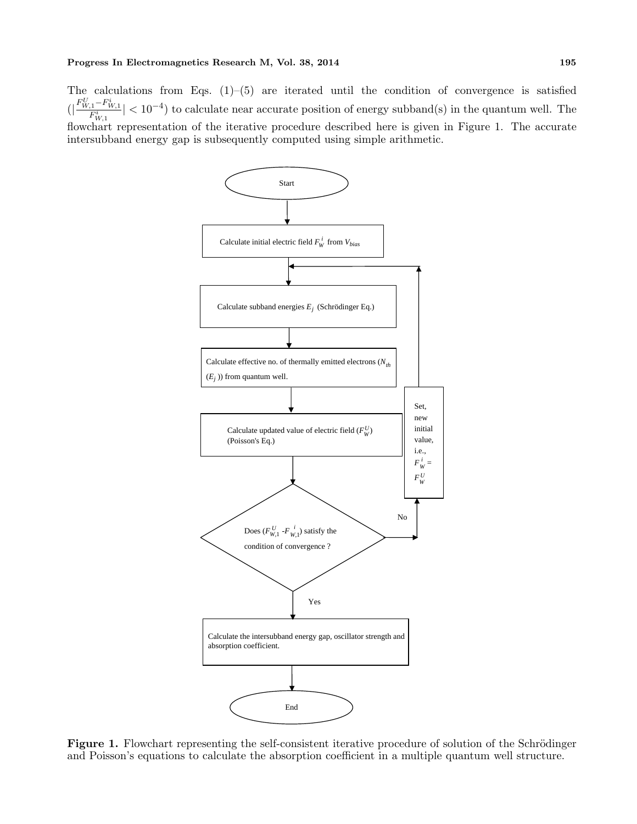The calculations from Eqs.  $(1)$ – $(5)$  are iterated until the condition of convergence is satisfied  $(|\frac{F_{W,1}^U-F_{W,1}^i}{F_{W,1}^i}|<10^{-4})$  to calculate near accurate position of energy subband(s) in the quantum well. The flowchart representation of the iterative procedure described here is given in Figure 1. The accurate intersubband energy gap is subsequently computed using simple arithmetic.



Figure 1. Flowchart representing the self-consistent iterative procedure of solution of the Schrödinger and Poisson's equations to calculate the absorption coefficient in a multiple quantum well structure.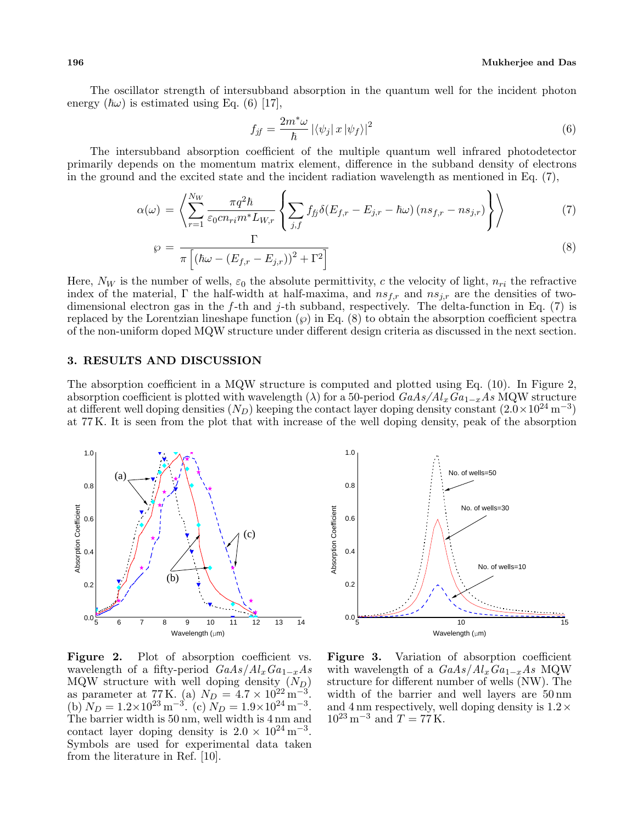The oscillator strength of intersubband absorption in the quantum well for the incident photon energy  $(\hbar\omega)$  is estimated using Eq. (6) [17],

$$
f_{jf} = \frac{2m^*\omega}{\hbar} |\langle \psi_j | x | \psi_f \rangle|^2 \tag{6}
$$

The intersubband absorption coefficient of the multiple quantum well infrared photodetector primarily depends on the momentum matrix element, difference in the subband density of electrons in the ground and the excited state and the incident radiation wavelength as mentioned in Eq. (7),

$$
\alpha(\omega) = \left\langle \sum_{r=1}^{N_W} \frac{\pi q^2 \hbar}{\varepsilon_0 c n_{ri} m^* L_{W,r}} \left\{ \sum_{j,f} f_{fj} \delta(E_{f,r} - E_{j,r} - \hbar \omega) (n s_{f,r} - n s_{j,r}) \right\} \right\rangle
$$
(7)

$$
\wp = \frac{\Gamma}{\pi \left[ (\hbar \omega - (E_{f,r} - E_{j,r}))^2 + \Gamma^2 \right]}
$$
\n(8)

Here,  $N_W$  is the number of wells,  $\varepsilon_0$  the absolute permittivity, c the velocity of light,  $n_{ri}$  the refractive index of the material,  $\Gamma$  the half-width at half-maxima, and  $ns_{f,r}$  and  $ns_{j,r}$  are the densities of twodimensional electron gas in the f-th and j-th subband, respectively. The delta-function in Eq.  $(7)$  is replaced by the Lorentzian lineshape function ( $\wp$ ) in Eq. (8) to obtain the absorption coefficient spectra of the non-uniform doped MQW structure under different design criteria as discussed in the next section.

## 3. RESULTS AND DISCUSSION

The absorption coefficient in a MQW structure is computed and plotted using Eq. (10). In Figure 2, absorption coefficient is plotted with wavelength ( $\lambda$ ) for a 50-period  $GaAs/Al_xGa_{1-x}As$  MQW structure at different well doping densities  $(N_D)$  keeping the contact layer doping density constant  $(2.0 \times 10^{24} \text{ m}^{-3})$ at 77 K. It is seen from the plot that with increase of the well doping density, peak of the absorption





Figure 2. Plot of absorption coefficient vs. wavelength of a fifty-period  $GaAs/Al_xGa_{1-x}As$ MQW structure with well doping density  $(N_D)$ as parameter at 77 K. (a)  $N_D = 4.7 \times 10^{22} \text{ m}^{-3}$ .  $(b)$   $N_D = 1.2 \times 10^{23} \,\mathrm{m}^{-3}$ . (c)  $N_D = 1.9 \times 10^{24} \,\mathrm{m}^{-3}$ . The barrier width is 50 nm, well width is 4 nm and contact layer doping density is  $2.0 \times 10^{24} \,\mathrm{m}^{-3}$ . Symbols are used for experimental data taken from the literature in Ref. [10].

Figure 3. Variation of absorption coefficient with wavelength of a  $GaAs/Al_xGa_{1-x}As$  MQW structure for different number of wells (NW). The width of the barrier and well layers are 50 nm and 4 nm respectively, well doping density is  $1.2 \times$  $10^{23}$  m<sup>-3</sup> and  $T = 77$  K.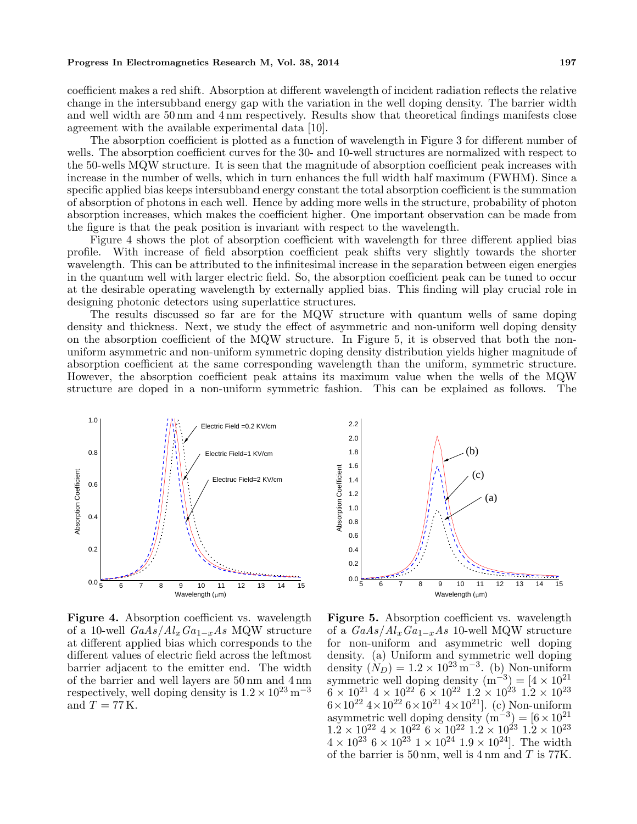#### Progress In Electromagnetics Research M, Vol. 38, 2014 197

coefficient makes a red shift. Absorption at different wavelength of incident radiation reflects the relative change in the intersubband energy gap with the variation in the well doping density. The barrier width and well width are 50 nm and 4 nm respectively. Results show that theoretical findings manifests close agreement with the available experimental data [10].

The absorption coefficient is plotted as a function of wavelength in Figure 3 for different number of wells. The absorption coefficient curves for the 30- and 10-well structures are normalized with respect to the 50-wells MQW structure. It is seen that the magnitude of absorption coefficient peak increases with increase in the number of wells, which in turn enhances the full width half maximum (FWHM). Since a specific applied bias keeps intersubband energy constant the total absorption coefficient is the summation of absorption of photons in each well. Hence by adding more wells in the structure, probability of photon absorption increases, which makes the coefficient higher. One important observation can be made from the figure is that the peak position is invariant with respect to the wavelength.

Figure 4 shows the plot of absorption coefficient with wavelength for three different applied bias profile. With increase of field absorption coefficient peak shifts very slightly towards the shorter wavelength. This can be attributed to the infinitesimal increase in the separation between eigen energies in the quantum well with larger electric field. So, the absorption coefficient peak can be tuned to occur at the desirable operating wavelength by externally applied bias. This finding will play crucial role in designing photonic detectors using superlattice structures.

The results discussed so far are for the MQW structure with quantum wells of same doping density and thickness. Next, we study the effect of asymmetric and non-uniform well doping density on the absorption coefficient of the MQW structure. In Figure 5, it is observed that both the nonuniform asymmetric and non-uniform symmetric doping density distribution yields higher magnitude of absorption coefficient at the same corresponding wavelength than the uniform, symmetric structure. However, the absorption coefficient peak attains its maximum value when the wells of the MQW structure are doped in a non-uniform symmetric fashion. This can be explained as follows. The



Figure 4. Absorption coefficient vs. wavelength of a 10-well  $GaAs/Al_xGa_{1-x}As$  MQW structure at different applied bias which corresponds to the different values of electric field across the leftmost barrier adjacent to the emitter end. The width of the barrier and well layers are 50 nm and 4 nm respectively, well doping density is  $1.2 \times 10^{23}$  m<sup>-3</sup> and  $T = 77$  K.



Figure 5. Absorption coefficient vs. wavelength of a  $GaAs/Al_xGa_{1-x}As$  10-well MQW structure for non-uniform and asymmetric well doping density. (a) Uniform and symmetric well doping density  $(N_D) = 1.2 \times 10^{23} \,\mathrm{m}^{-3}$ . (b) Non-uniform symmetric well doping density  $(m^{-3}) = [4 \times 10^{21}]$  $6 \times 10^{21}$  4  $\times 10^{22}$   $6 \times 10^{22}$   $1.2 \times 10^{23}$   $1.2 \times 10^{23}$  $6\times10^{22}$   $4\times10^{22}$   $6\times10^{21}$   $4\times10^{21}$ . (c) Non-uniform asymmetric well doping density  $(m^{-3}) = [6 \times 10^{21}]$  $1.2 \times 10^{22}$  4 ×  $10^{22}$  6 ×  $10^{22}$   $1.2 \times 10^{23}$   $1.2 \times 10^{23}$  $4 \times 10^{23}$  6 × 10<sup>23</sup> 1 × 10<sup>24</sup> 1.9 × 10<sup>24</sup>]. The width of the barrier is  $50 \text{ nm}$ , well is  $4 \text{ nm}$  and  $T$  is  $77 \text{K}$ .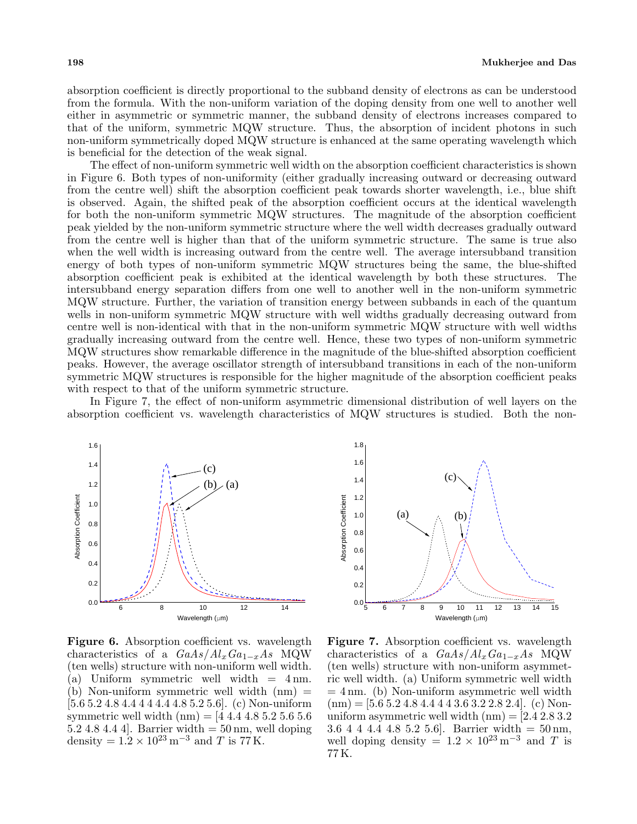absorption coefficient is directly proportional to the subband density of electrons as can be understood from the formula. With the non-uniform variation of the doping density from one well to another well either in asymmetric or symmetric manner, the subband density of electrons increases compared to that of the uniform, symmetric MQW structure. Thus, the absorption of incident photons in such non-uniform symmetrically doped MQW structure is enhanced at the same operating wavelength which is beneficial for the detection of the weak signal.

The effect of non-uniform symmetric well width on the absorption coefficient characteristics is shown in Figure 6. Both types of non-uniformity (either gradually increasing outward or decreasing outward from the centre well) shift the absorption coefficient peak towards shorter wavelength, i.e., blue shift is observed. Again, the shifted peak of the absorption coefficient occurs at the identical wavelength for both the non-uniform symmetric MQW structures. The magnitude of the absorption coefficient peak yielded by the non-uniform symmetric structure where the well width decreases gradually outward from the centre well is higher than that of the uniform symmetric structure. The same is true also when the well width is increasing outward from the centre well. The average intersubband transition energy of both types of non-uniform symmetric MQW structures being the same, the blue-shifted absorption coefficient peak is exhibited at the identical wavelength by both these structures. The intersubband energy separation differs from one well to another well in the non-uniform symmetric MQW structure. Further, the variation of transition energy between subbands in each of the quantum wells in non-uniform symmetric MQW structure with well widths gradually decreasing outward from centre well is non-identical with that in the non-uniform symmetric MQW structure with well widths gradually increasing outward from the centre well. Hence, these two types of non-uniform symmetric MQW structures show remarkable difference in the magnitude of the blue-shifted absorption coefficient peaks. However, the average oscillator strength of intersubband transitions in each of the non-uniform symmetric MQW structures is responsible for the higher magnitude of the absorption coefficient peaks with respect to that of the uniform symmetric structure.

In Figure 7, the effect of non-uniform asymmetric dimensional distribution of well layers on the absorption coefficient vs. wavelength characteristics of MQW structures is studied. Both the non-

1.8



1.6 (c) 1.4 1.2 Absorption Coefficient **Absorption Coefficien** (a) (b) 1.0 0.8 0.6 0.4 0.2 0.0 5 6 7 8 9 10 11 12 13 14 15 Wavelength (pm)

Figure 6. Absorption coefficient vs. wavelength characteristics of a  $GaAs/Al_xGa_{1-x}As$  MQW (ten wells) structure with non-uniform well width. (a) Uniform symmetric well width  $= 4 \text{ nm}$ . (b) Non-uniform symmetric well width (nm) = [5.6 5.2 4.8 4.4 4 4 4.4 4.8 5.2 5.6]. (c) Non-uniform symmetric well width  $(nm) = [4 4.4 4.8 5.2 5.6 5.6]$ 5.2 4.8 4.4 4. Barrier width  $= 50 \text{ nm}$ , well doping density =  $1.2 \times 10^{23}$  m<sup>-3</sup> and T is 77 K.

Figure 7. Absorption coefficient vs. wavelength characteristics of a  $GaAs/Al_xGa_{1-x}As$  MQW (ten wells) structure with non-uniform asymmetric well width. (a) Uniform symmetric well width  $= 4 \,\mathrm{nm}$ . (b) Non-uniform asymmetric well width  $(nm) = [5.65.24.84.4443.63.22.82.4]$ . (c) Nonuniform asymmetric well width  $(nm) = [2.4 2.8 3.2]$ 3.6 4 4 4.4 4.8 5.2 5.6. Barrier width  $= 50 \text{ nm}$ , well doping density =  $1.2 \times 10^{23} \text{ m}^{-3}$  and T is 77 K.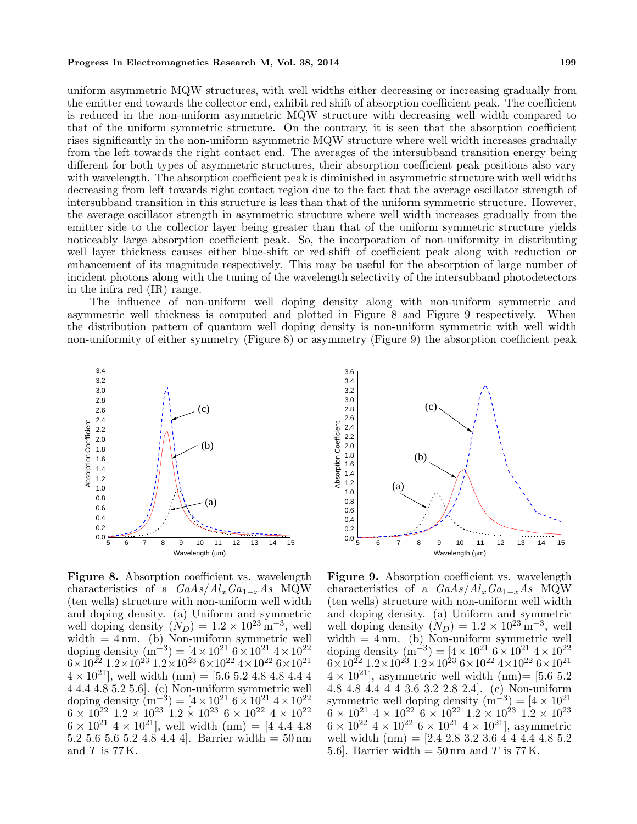#### Progress In Electromagnetics Research M, Vol. 38, 2014 199

uniform asymmetric MQW structures, with well widths either decreasing or increasing gradually from the emitter end towards the collector end, exhibit red shift of absorption coefficient peak. The coefficient is reduced in the non-uniform asymmetric MQW structure with decreasing well width compared to that of the uniform symmetric structure. On the contrary, it is seen that the absorption coefficient rises significantly in the non-uniform asymmetric MQW structure where well width increases gradually from the left towards the right contact end. The averages of the intersubband transition energy being different for both types of asymmetric structures, their absorption coefficient peak positions also vary with wavelength. The absorption coefficient peak is diminished in asymmetric structure with well widths decreasing from left towards right contact region due to the fact that the average oscillator strength of intersubband transition in this structure is less than that of the uniform symmetric structure. However, the average oscillator strength in asymmetric structure where well width increases gradually from the emitter side to the collector layer being greater than that of the uniform symmetric structure yields noticeably large absorption coefficient peak. So, the incorporation of non-uniformity in distributing well layer thickness causes either blue-shift or red-shift of coefficient peak along with reduction or enhancement of its magnitude respectively. This may be useful for the absorption of large number of incident photons along with the tuning of the wavelength selectivity of the intersubband photodetectors in the infra red (IR) range.

The influence of non-uniform well doping density along with non-uniform symmetric and asymmetric well thickness is computed and plotted in Figure 8 and Figure 9 respectively. When the distribution pattern of quantum well doping density is non-uniform symmetric with well width non-uniformity of either symmetry (Figure 8) or asymmetry (Figure 9) the absorption coefficient peak



Figure 8. Absorption coefficient vs. wavelength characteristics of a  $GaAs/Al_xGa_{1-x}As$  MQW (ten wells) structure with non-uniform well width and doping density. (a) Uniform and symmetric well doping density  $(N_D) = 1.2 \times 10^{23} \,\mathrm{m}^{-3}$ , well width  $=$  4 nm. (b) Non-uniform symmetric well doping density  $(m^{-3}) = [4 \times 10^{21} \text{ 6} \times 10^{21} \text{ 4} \times 10^{22} \text{ ]}$  $6\times10^{22}$   $1.2\times10^{23}$   $1.2\times10^{23}$   $6\times10^{22}$   $4\times10^{22}$   $6\times10^{21}$  $4 \times 10^{21}$ , well width (nm) = [5.6 5.2 4.8 4.8 4.4 4 4 4.4 4.8 5.2 5.6]. (c) Non-uniform symmetric well doping density  $(m^{-3}) = [4 \times 10^{21} \text{ 6} \times 10^{21} \text{ 4} \times 10^{22} \text{ ]}$  $6 \times 10^{22}$   $1.2 \times 10^{23}$   $1.2 \times 10^{23}$   $6 \times 10^{22}$   $4 \times 10^{22}$  $6 \times 10^{21}$  4 ×  $10^{21}$ ], well width (nm) = [4 4.4 4.8] 5.2 5.6 5.6 5.2 4.8 4.4 4]. Barrier width = 50 nm and  $T$  is  $77$  K.



Figure 9. Absorption coefficient vs. wavelength characteristics of a  $GaAs/Al_xGa_{1-x}As$  MQW (ten wells) structure with non-uniform well width and doping density. (a) Uniform and symmetric well doping density  $(N_D) = 1.2 \times 10^{23} \,\mathrm{m}^{-3}$ , well width  $=$  4 nm. (b) Non-uniform symmetric well doping density  $(m^{-3}) = [4 \times 10^{21} \text{ 6} \times 10^{21} \text{ 4} \times 10^{22} \text{ ]}$  $6\overline{\times}10^{22}$   $1.2\overline{\times}10^{23}$   $1.2\overline{\times}10^{23}$   $6\overline{\times}10^{22}$   $4\overline{\times}10^{22}$   $6\overline{\times}10^{21}$  $4 \times 10^{21}$ , asymmetric well width (nm)= [5.6 5.2] 4.8 4.8 4.4 4 4 3.6 3.2 2.8 2.4]. (c) Non-uniform symmetric well doping density  $(m^{-3}) = [4 \times 10^{21}]$  $6 \times 10^{21}$  4 ×  $10^{22}$   $6 \times 10^{22}$   $1.2 \times 10^{23}$   $1.2 \times 10^{23}$  $6 \times 10^{22}$  4 ×  $10^{22}$  6 ×  $10^{21}$  4 ×  $10^{21}$ , asymmetric well width  $\text{(nm)} = [2.4 \ 2.8 \ 3.2 \ 3.6 \ 4 \ 4 \ 4.4 \ 4.8 \ 5.2]$ 5.6]. Barrier width  $= 50 \,\mathrm{nm}$  and T is 77 K.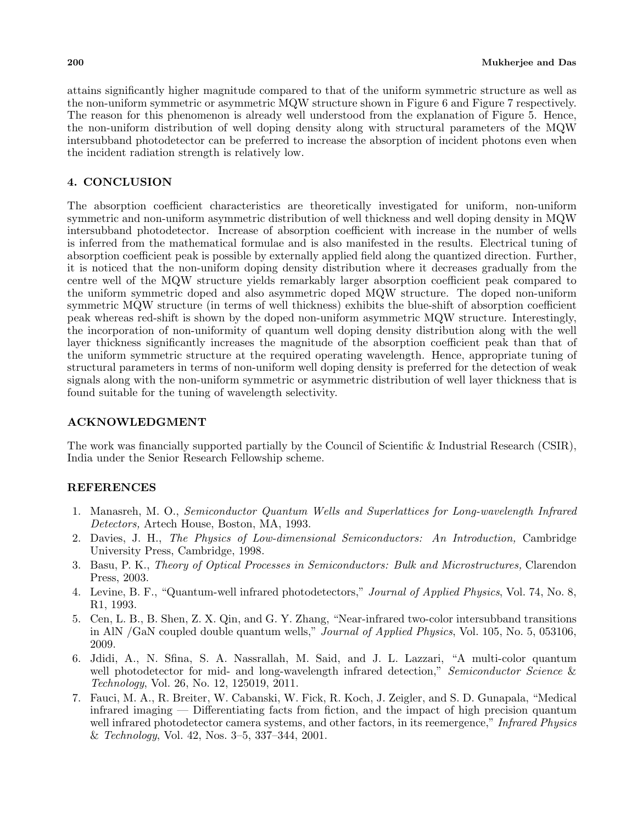attains significantly higher magnitude compared to that of the uniform symmetric structure as well as the non-uniform symmetric or asymmetric MQW structure shown in Figure 6 and Figure 7 respectively. The reason for this phenomenon is already well understood from the explanation of Figure 5. Hence, the non-uniform distribution of well doping density along with structural parameters of the MQW intersubband photodetector can be preferred to increase the absorption of incident photons even when the incident radiation strength is relatively low.

## 4. CONCLUSION

The absorption coefficient characteristics are theoretically investigated for uniform, non-uniform symmetric and non-uniform asymmetric distribution of well thickness and well doping density in MQW intersubband photodetector. Increase of absorption coefficient with increase in the number of wells is inferred from the mathematical formulae and is also manifested in the results. Electrical tuning of absorption coefficient peak is possible by externally applied field along the quantized direction. Further, it is noticed that the non-uniform doping density distribution where it decreases gradually from the centre well of the MQW structure yields remarkably larger absorption coefficient peak compared to the uniform symmetric doped and also asymmetric doped MQW structure. The doped non-uniform symmetric MQW structure (in terms of well thickness) exhibits the blue-shift of absorption coefficient peak whereas red-shift is shown by the doped non-uniform asymmetric MQW structure. Interestingly, the incorporation of non-uniformity of quantum well doping density distribution along with the well layer thickness significantly increases the magnitude of the absorption coefficient peak than that of the uniform symmetric structure at the required operating wavelength. Hence, appropriate tuning of structural parameters in terms of non-uniform well doping density is preferred for the detection of weak signals along with the non-uniform symmetric or asymmetric distribution of well layer thickness that is found suitable for the tuning of wavelength selectivity.

## ACKNOWLEDGMENT

The work was financially supported partially by the Council of Scientific & Industrial Research (CSIR), India under the Senior Research Fellowship scheme.

## REFERENCES

- 1. Manasreh, M. O., Semiconductor Quantum Wells and Superlattices for Long-wavelength Infrared Detectors, Artech House, Boston, MA, 1993.
- 2. Davies, J. H., The Physics of Low-dimensional Semiconductors: An Introduction, Cambridge University Press, Cambridge, 1998.
- 3. Basu, P. K., Theory of Optical Processes in Semiconductors: Bulk and Microstructures, Clarendon Press, 2003.
- 4. Levine, B. F., "Quantum-well infrared photodetectors," Journal of Applied Physics, Vol. 74, No. 8, R1, 1993.
- 5. Cen, L. B., B. Shen, Z. X. Qin, and G. Y. Zhang, "Near-infrared two-color intersubband transitions in AlN /GaN coupled double quantum wells," *Journal of Applied Physics*, Vol. 105, No. 5, 053106, 2009.
- 6. Jdidi, A., N. Sfina, S. A. Nassrallah, M. Said, and J. L. Lazzari, "A multi-color quantum well photodetector for mid- and long-wavelength infrared detection," Semiconductor Science & Technology, Vol. 26, No. 12, 125019, 2011.
- 7. Fauci, M. A., R. Breiter, W. Cabanski, W. Fick, R. Koch, J. Zeigler, and S. D. Gunapala, "Medical infrared imaging — Differentiating facts from fiction, and the impact of high precision quantum well infrared photodetector camera systems, and other factors, in its reemergence," Infrared Physics & Technology, Vol. 42, Nos. 3–5, 337–344, 2001.